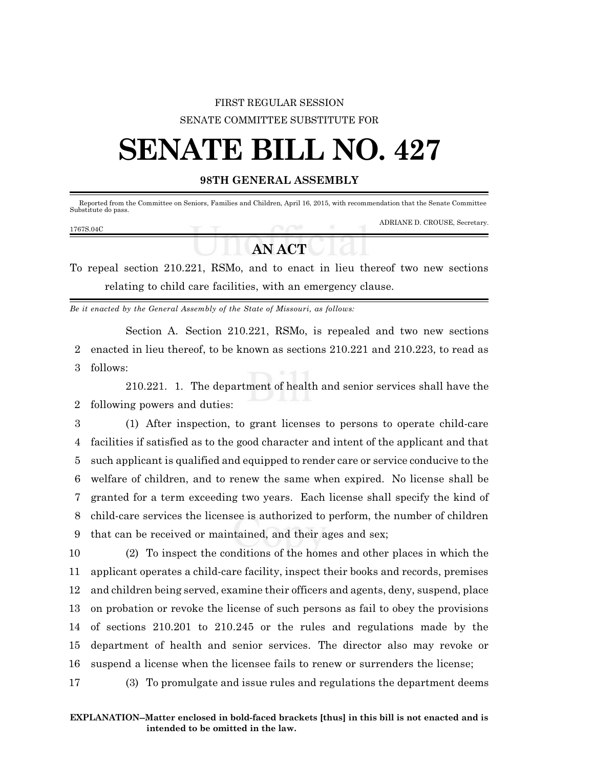## FIRST REGULAR SESSION SENATE COMMITTEE SUBSTITUTE FOR

## **SENATE BILL NO. 427**

## **98TH GENERAL ASSEMBLY**

| Reported from the Committee on Seniors, Families and Children, April 16, 2015, with recommendation that the Senate Committee<br>Substitute do pass. |  |                               |
|-----------------------------------------------------------------------------------------------------------------------------------------------------|--|-------------------------------|
| 1767S.04C                                                                                                                                           |  | ADRIANE D. CROUSE, Secretary. |
|                                                                                                                                                     |  |                               |

## **AN ACT**

To repeal section 210.221, RSMo, and to enact in lieu thereof two new sections relating to child care facilities, with an emergency clause.

*Be it enacted by the General Assembly of the State of Missouri, as follows:*

Section A. Section 210.221, RSMo, is repealed and two new sections 2 enacted in lieu thereof, to be known as sections 210.221 and 210.223, to read as 3 follows:

210.221. 1. The department of health and senior services shall have the 2 following powers and duties:

 (1) After inspection, to grant licenses to persons to operate child-care facilities if satisfied as to the good character and intent of the applicant and that such applicant is qualified and equipped to render care or service conducive to the welfare of children, and to renew the same when expired. No license shall be granted for a term exceeding two years. Each license shall specify the kind of child-care services the licensee is authorized to perform, the number of children that can be received or maintained, and their ages and sex;

 (2) To inspect the conditions of the homes and other places in which the applicant operates a child-care facility, inspect their books and records, premises and children being served, examine their officers and agents, deny, suspend, place on probation or revoke the license of such persons as fail to obey the provisions of sections 210.201 to 210.245 or the rules and regulations made by the department of health and senior services. The director also may revoke or suspend a license when the licensee fails to renew or surrenders the license;

17 (3) To promulgate and issue rules and regulations the department deems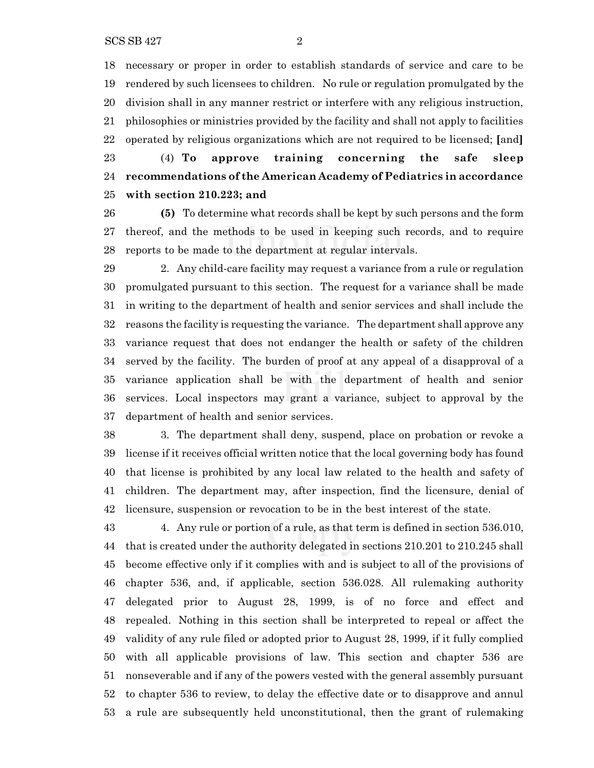necessary or proper in order to establish standards of service and care to be rendered by such licensees to children. No rule or regulation promulgated by the division shall in any manner restrict or interfere with any religious instruction, philosophies or ministries provided by the facility and shall not apply to facilities operated by religious organizations which are not required to be licensed; **[**and**]**

 (4) **To approve training concerning the safe sleep recommendations of the American Academy of Pediatrics in accordance with section 210.223; and**

 **(5)** To determine what records shall be kept by such persons and the form thereof, and the methods to be used in keeping such records, and to require reports to be made to the department at regular intervals.

 2. Any child-care facility may request a variance from a rule or regulation promulgated pursuant to this section. The request for a variance shall be made in writing to the department of health and senior services and shall include the reasons the facility is requesting the variance. The department shall approve any variance request that does not endanger the health or safety of the children served by the facility. The burden of proof at any appeal of a disapproval of a variance application shall be with the department of health and senior services. Local inspectors may grant a variance, subject to approval by the department of health and senior services.

 3. The department shall deny, suspend, place on probation or revoke a license if it receives official written notice that the local governing body has found that license is prohibited by any local law related to the health and safety of children. The department may, after inspection, find the licensure, denial of licensure, suspension or revocation to be in the best interest of the state.

 4. Any rule or portion of a rule, as that term is defined in section 536.010, that is created under the authority delegated in sections 210.201 to 210.245 shall become effective only if it complies with and is subject to all of the provisions of chapter 536, and, if applicable, section 536.028. All rulemaking authority delegated prior to August 28, 1999, is of no force and effect and repealed. Nothing in this section shall be interpreted to repeal or affect the validity of any rule filed or adopted prior to August 28, 1999, if it fully complied with all applicable provisions of law. This section and chapter 536 are nonseverable and if any of the powers vested with the general assembly pursuant to chapter 536 to review, to delay the effective date or to disapprove and annul a rule are subsequently held unconstitutional, then the grant of rulemaking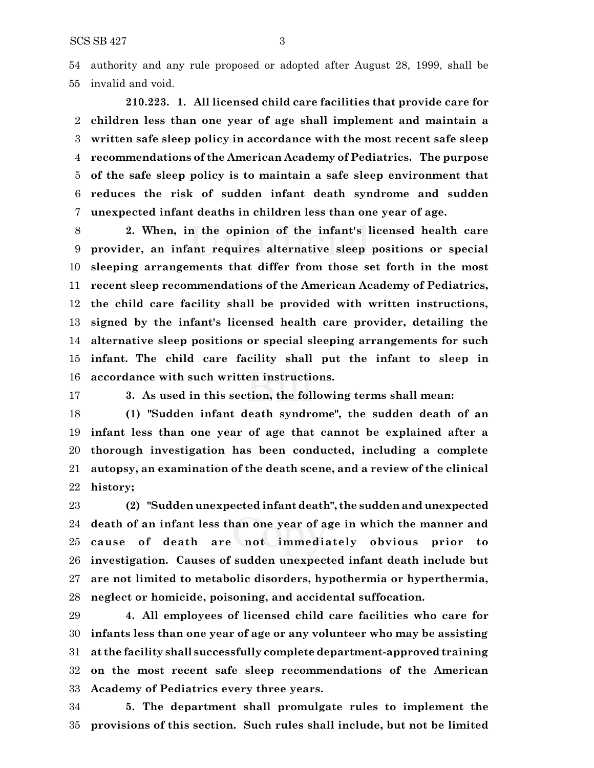authority and any rule proposed or adopted after August 28, 1999, shall be invalid and void.

**210.223. 1. All licensed child care facilities that provide care for children less than one year of age shall implement and maintain a written safe sleep policy in accordance with the most recent safe sleep recommendations of the American Academy of Pediatrics. The purpose of the safe sleep policy is to maintain a safe sleep environment that reduces the risk of sudden infant death syndrome and sudden unexpected infant deaths in children less than one year of age.**

 **2. When, in the opinion of the infant's licensed health care provider, an infant requires alternative sleep positions or special sleeping arrangements that differ from those set forth in the most recent sleep recommendations of the American Academy of Pediatrics, the child care facility shall be provided with written instructions, signed by the infant's licensed health care provider, detailing the alternative sleep positions or special sleeping arrangements for such infant. The child care facility shall put the infant to sleep in accordance with such written instructions.**

**3. As used in this section, the following terms shall mean:**

 **(1) "Sudden infant death syndrome", the sudden death of an infant less than one year of age that cannot be explained after a thorough investigation has been conducted, including a complete autopsy, an examination of the death scene, and a review of the clinical history;**

 **(2) "Sudden unexpected infant death", the sudden and unexpected death of an infant less than one year of age in which the manner and cause of death are not immediately obvious prior to investigation. Causes of sudden unexpected infant death include but are not limited to metabolic disorders, hypothermia or hyperthermia, neglect or homicide, poisoning, and accidental suffocation.**

 **4. All employees of licensed child care facilities who care for infants less than one year of age or any volunteer who may be assisting at the facility shall successfully complete department-approved training on the most recent safe sleep recommendations of the American Academy of Pediatrics every three years.**

 **5. The department shall promulgate rules to implement the provisions of this section. Such rules shall include, but not be limited**